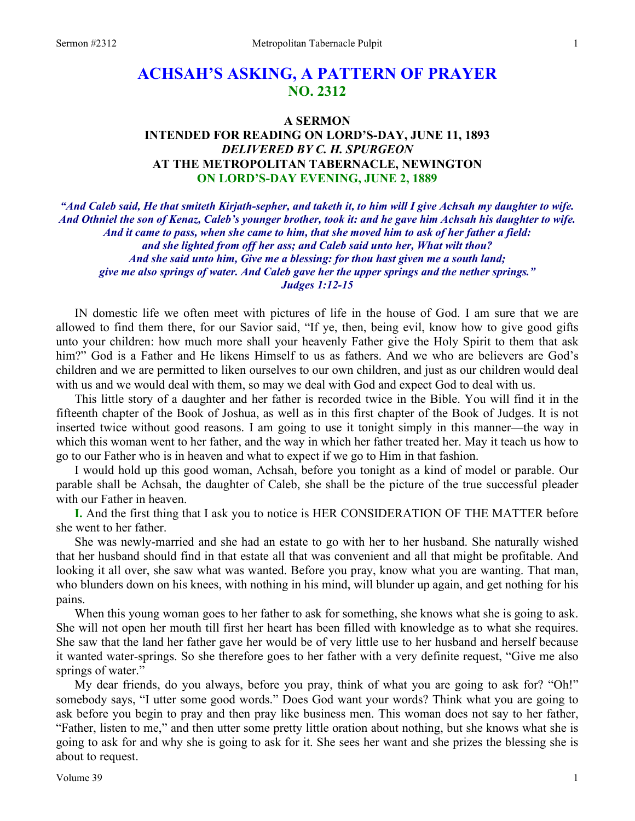# **ACHSAH'S ASKING, A PATTERN OF PRAYER NO. 2312**

## **A SERMON INTENDED FOR READING ON LORD'S-DAY, JUNE 11, 1893**  *DELIVERED BY C. H. SPURGEON*  **AT THE METROPOLITAN TABERNACLE, NEWINGTON ON LORD'S-DAY EVENING, JUNE 2, 1889**

*"And Caleb said, He that smiteth Kirjath-sepher, and taketh it, to him will I give Achsah my daughter to wife. And Othniel the son of Kenaz, Caleb's younger brother, took it: and he gave him Achsah his daughter to wife. And it came to pass, when she came to him, that she moved him to ask of her father a field: and she lighted from off her ass; and Caleb said unto her, What wilt thou? And she said unto him, Give me a blessing: for thou hast given me a south land; give me also springs of water. And Caleb gave her the upper springs and the nether springs." Judges 1:12-15* 

IN domestic life we often meet with pictures of life in the house of God. I am sure that we are allowed to find them there, for our Savior said, "If ye, then, being evil, know how to give good gifts unto your children: how much more shall your heavenly Father give the Holy Spirit to them that ask him?" God is a Father and He likens Himself to us as fathers. And we who are believers are God's children and we are permitted to liken ourselves to our own children, and just as our children would deal with us and we would deal with them, so may we deal with God and expect God to deal with us.

This little story of a daughter and her father is recorded twice in the Bible. You will find it in the fifteenth chapter of the Book of Joshua, as well as in this first chapter of the Book of Judges. It is not inserted twice without good reasons. I am going to use it tonight simply in this manner—the way in which this woman went to her father, and the way in which her father treated her. May it teach us how to go to our Father who is in heaven and what to expect if we go to Him in that fashion.

I would hold up this good woman, Achsah, before you tonight as a kind of model or parable. Our parable shall be Achsah, the daughter of Caleb, she shall be the picture of the true successful pleader with our Father in heaven.

**I.** And the first thing that I ask you to notice is HER CONSIDERATION OF THE MATTER before she went to her father.

She was newly-married and she had an estate to go with her to her husband. She naturally wished that her husband should find in that estate all that was convenient and all that might be profitable. And looking it all over, she saw what was wanted. Before you pray, know what you are wanting. That man, who blunders down on his knees, with nothing in his mind, will blunder up again, and get nothing for his pains.

When this young woman goes to her father to ask for something, she knows what she is going to ask. She will not open her mouth till first her heart has been filled with knowledge as to what she requires. She saw that the land her father gave her would be of very little use to her husband and herself because it wanted water-springs. So she therefore goes to her father with a very definite request, "Give me also springs of water."

My dear friends, do you always, before you pray, think of what you are going to ask for? "Oh!" somebody says, "I utter some good words." Does God want your words? Think what you are going to ask before you begin to pray and then pray like business men. This woman does not say to her father, "Father, listen to me," and then utter some pretty little oration about nothing, but she knows what she is going to ask for and why she is going to ask for it. She sees her want and she prizes the blessing she is about to request.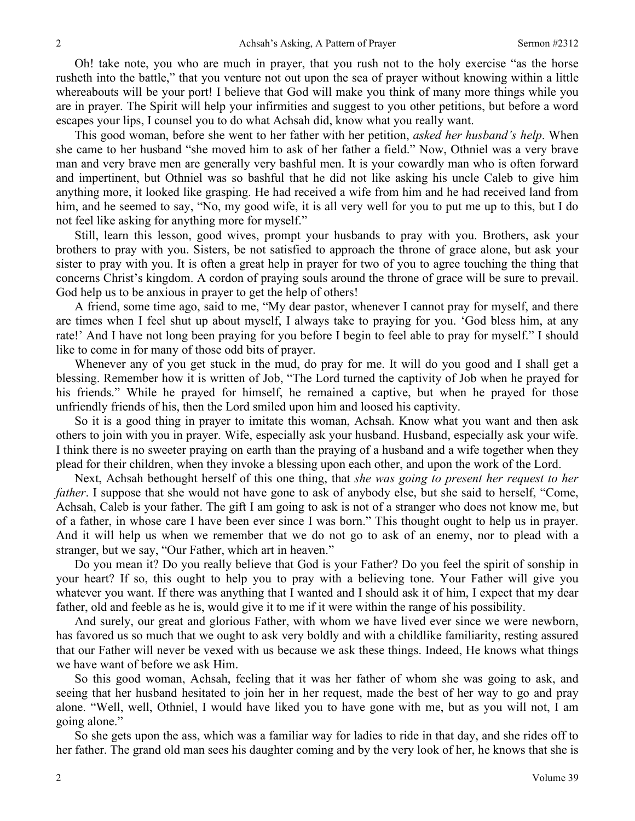Oh! take note, you who are much in prayer, that you rush not to the holy exercise "as the horse rusheth into the battle," that you venture not out upon the sea of prayer without knowing within a little whereabouts will be your port! I believe that God will make you think of many more things while you are in prayer. The Spirit will help your infirmities and suggest to you other petitions, but before a word escapes your lips, I counsel you to do what Achsah did, know what you really want.

This good woman, before she went to her father with her petition, *asked her husband's help*. When she came to her husband "she moved him to ask of her father a field." Now, Othniel was a very brave man and very brave men are generally very bashful men. It is your cowardly man who is often forward and impertinent, but Othniel was so bashful that he did not like asking his uncle Caleb to give him anything more, it looked like grasping. He had received a wife from him and he had received land from him, and he seemed to say, "No, my good wife, it is all very well for you to put me up to this, but I do not feel like asking for anything more for myself."

Still, learn this lesson, good wives, prompt your husbands to pray with you. Brothers, ask your brothers to pray with you. Sisters, be not satisfied to approach the throne of grace alone, but ask your sister to pray with you. It is often a great help in prayer for two of you to agree touching the thing that concerns Christ's kingdom. A cordon of praying souls around the throne of grace will be sure to prevail. God help us to be anxious in prayer to get the help of others!

A friend, some time ago, said to me, "My dear pastor, whenever I cannot pray for myself, and there are times when I feel shut up about myself, I always take to praying for you. 'God bless him, at any rate!' And I have not long been praying for you before I begin to feel able to pray for myself." I should like to come in for many of those odd bits of prayer.

Whenever any of you get stuck in the mud, do pray for me. It will do you good and I shall get a blessing. Remember how it is written of Job, "The Lord turned the captivity of Job when he prayed for his friends." While he prayed for himself, he remained a captive, but when he prayed for those unfriendly friends of his, then the Lord smiled upon him and loosed his captivity.

So it is a good thing in prayer to imitate this woman, Achsah. Know what you want and then ask others to join with you in prayer. Wife, especially ask your husband. Husband, especially ask your wife. I think there is no sweeter praying on earth than the praying of a husband and a wife together when they plead for their children, when they invoke a blessing upon each other, and upon the work of the Lord.

Next, Achsah bethought herself of this one thing, that *she was going to present her request to her father*. I suppose that she would not have gone to ask of anybody else, but she said to herself, "Come, Achsah, Caleb is your father. The gift I am going to ask is not of a stranger who does not know me, but of a father, in whose care I have been ever since I was born." This thought ought to help us in prayer. And it will help us when we remember that we do not go to ask of an enemy, nor to plead with a stranger, but we say, "Our Father, which art in heaven."

Do you mean it? Do you really believe that God is your Father? Do you feel the spirit of sonship in your heart? If so, this ought to help you to pray with a believing tone. Your Father will give you whatever you want. If there was anything that I wanted and I should ask it of him, I expect that my dear father, old and feeble as he is, would give it to me if it were within the range of his possibility.

And surely, our great and glorious Father, with whom we have lived ever since we were newborn, has favored us so much that we ought to ask very boldly and with a childlike familiarity, resting assured that our Father will never be vexed with us because we ask these things. Indeed, He knows what things we have want of before we ask Him.

So this good woman, Achsah, feeling that it was her father of whom she was going to ask, and seeing that her husband hesitated to join her in her request, made the best of her way to go and pray alone. "Well, well, Othniel, I would have liked you to have gone with me, but as you will not, I am going alone."

So she gets upon the ass, which was a familiar way for ladies to ride in that day, and she rides off to her father. The grand old man sees his daughter coming and by the very look of her, he knows that she is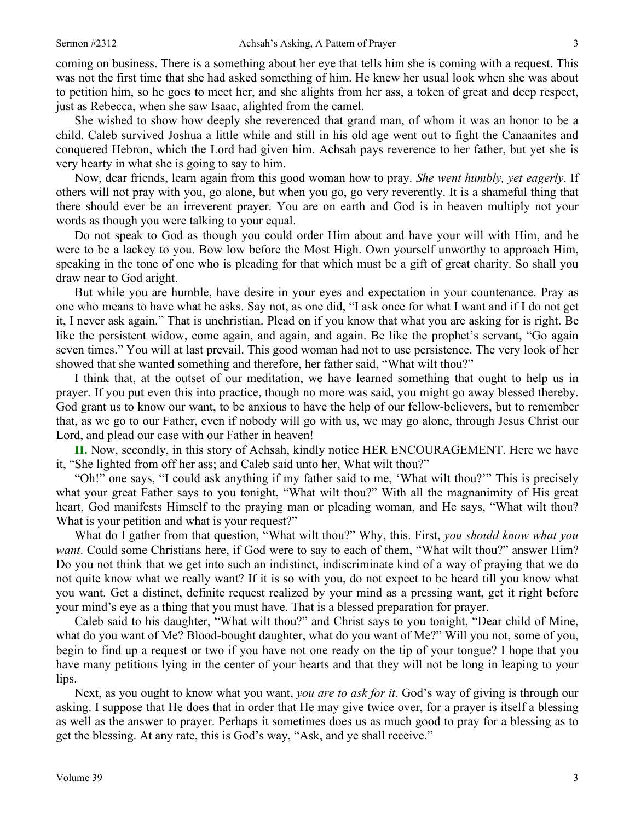coming on business. There is a something about her eye that tells him she is coming with a request. This was not the first time that she had asked something of him. He knew her usual look when she was about to petition him, so he goes to meet her, and she alights from her ass, a token of great and deep respect, just as Rebecca, when she saw Isaac, alighted from the camel.

She wished to show how deeply she reverenced that grand man, of whom it was an honor to be a child. Caleb survived Joshua a little while and still in his old age went out to fight the Canaanites and conquered Hebron, which the Lord had given him. Achsah pays reverence to her father, but yet she is very hearty in what she is going to say to him.

Now, dear friends, learn again from this good woman how to pray. *She went humbly, yet eagerly*. If others will not pray with you, go alone, but when you go, go very reverently. It is a shameful thing that there should ever be an irreverent prayer. You are on earth and God is in heaven multiply not your words as though you were talking to your equal.

Do not speak to God as though you could order Him about and have your will with Him, and he were to be a lackey to you. Bow low before the Most High. Own yourself unworthy to approach Him, speaking in the tone of one who is pleading for that which must be a gift of great charity. So shall you draw near to God aright.

But while you are humble, have desire in your eyes and expectation in your countenance. Pray as one who means to have what he asks. Say not, as one did, "I ask once for what I want and if I do not get it, I never ask again." That is unchristian. Plead on if you know that what you are asking for is right. Be like the persistent widow, come again, and again, and again. Be like the prophet's servant, "Go again seven times." You will at last prevail. This good woman had not to use persistence. The very look of her showed that she wanted something and therefore, her father said, "What wilt thou?"

I think that, at the outset of our meditation, we have learned something that ought to help us in prayer. If you put even this into practice, though no more was said, you might go away blessed thereby. God grant us to know our want, to be anxious to have the help of our fellow-believers, but to remember that, as we go to our Father, even if nobody will go with us, we may go alone, through Jesus Christ our Lord, and plead our case with our Father in heaven!

**II.** Now, secondly, in this story of Achsah, kindly notice HER ENCOURAGEMENT. Here we have it, "She lighted from off her ass; and Caleb said unto her, What wilt thou?"

"Oh!" one says, "I could ask anything if my father said to me, 'What wilt thou?'" This is precisely what your great Father says to you tonight, "What wilt thou?" With all the magnanimity of His great heart, God manifests Himself to the praying man or pleading woman, and He says, "What wilt thou? What is your petition and what is your request?"

What do I gather from that question, "What wilt thou?" Why, this. First, *you should know what you want*. Could some Christians here, if God were to say to each of them, "What wilt thou?" answer Him? Do you not think that we get into such an indistinct, indiscriminate kind of a way of praying that we do not quite know what we really want? If it is so with you, do not expect to be heard till you know what you want. Get a distinct, definite request realized by your mind as a pressing want, get it right before your mind's eye as a thing that you must have. That is a blessed preparation for prayer.

Caleb said to his daughter, "What wilt thou?" and Christ says to you tonight, "Dear child of Mine, what do you want of Me? Blood-bought daughter, what do you want of Me?" Will you not, some of you, begin to find up a request or two if you have not one ready on the tip of your tongue? I hope that you have many petitions lying in the center of your hearts and that they will not be long in leaping to your lips.

Next, as you ought to know what you want, *you are to ask for it.* God's way of giving is through our asking. I suppose that He does that in order that He may give twice over, for a prayer is itself a blessing as well as the answer to prayer. Perhaps it sometimes does us as much good to pray for a blessing as to get the blessing. At any rate, this is God's way, "Ask, and ye shall receive."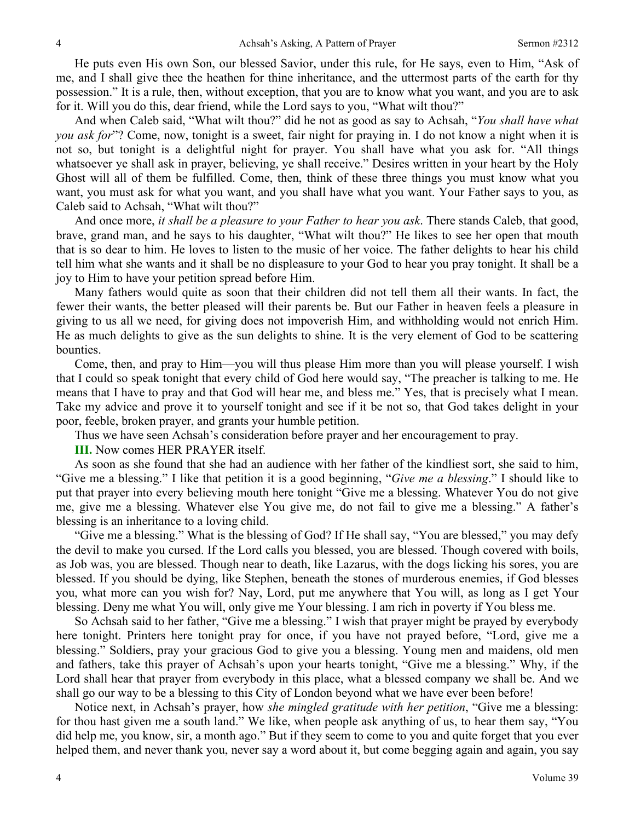He puts even His own Son, our blessed Savior, under this rule, for He says, even to Him, "Ask of me, and I shall give thee the heathen for thine inheritance, and the uttermost parts of the earth for thy possession." It is a rule, then, without exception, that you are to know what you want, and you are to ask for it. Will you do this, dear friend, while the Lord says to you, "What wilt thou?"

And when Caleb said, "What wilt thou?" did he not as good as say to Achsah, "*You shall have what you ask for*"? Come, now, tonight is a sweet, fair night for praying in. I do not know a night when it is not so, but tonight is a delightful night for prayer. You shall have what you ask for. "All things whatsoever ye shall ask in prayer, believing, ye shall receive." Desires written in your heart by the Holy Ghost will all of them be fulfilled. Come, then, think of these three things you must know what you want, you must ask for what you want, and you shall have what you want. Your Father says to you, as Caleb said to Achsah, "What wilt thou?"

And once more, *it shall be a pleasure to your Father to hear you ask*. There stands Caleb, that good, brave, grand man, and he says to his daughter, "What wilt thou?" He likes to see her open that mouth that is so dear to him. He loves to listen to the music of her voice. The father delights to hear his child tell him what she wants and it shall be no displeasure to your God to hear you pray tonight. It shall be a joy to Him to have your petition spread before Him.

Many fathers would quite as soon that their children did not tell them all their wants. In fact, the fewer their wants, the better pleased will their parents be. But our Father in heaven feels a pleasure in giving to us all we need, for giving does not impoverish Him, and withholding would not enrich Him. He as much delights to give as the sun delights to shine. It is the very element of God to be scattering bounties.

Come, then, and pray to Him—you will thus please Him more than you will please yourself. I wish that I could so speak tonight that every child of God here would say, "The preacher is talking to me. He means that I have to pray and that God will hear me, and bless me." Yes, that is precisely what I mean. Take my advice and prove it to yourself tonight and see if it be not so, that God takes delight in your poor, feeble, broken prayer, and grants your humble petition.

Thus we have seen Achsah's consideration before prayer and her encouragement to pray.

**III.** Now comes HER PRAYER itself.

As soon as she found that she had an audience with her father of the kindliest sort, she said to him, "Give me a blessing." I like that petition it is a good beginning, "*Give me a blessing*." I should like to put that prayer into every believing mouth here tonight "Give me a blessing. Whatever You do not give me, give me a blessing. Whatever else You give me, do not fail to give me a blessing." A father's blessing is an inheritance to a loving child.

"Give me a blessing." What is the blessing of God? If He shall say, "You are blessed," you may defy the devil to make you cursed. If the Lord calls you blessed, you are blessed. Though covered with boils, as Job was, you are blessed. Though near to death, like Lazarus, with the dogs licking his sores, you are blessed. If you should be dying, like Stephen, beneath the stones of murderous enemies, if God blesses you, what more can you wish for? Nay, Lord, put me anywhere that You will, as long as I get Your blessing. Deny me what You will, only give me Your blessing. I am rich in poverty if You bless me.

So Achsah said to her father, "Give me a blessing." I wish that prayer might be prayed by everybody here tonight. Printers here tonight pray for once, if you have not prayed before, "Lord, give me a blessing." Soldiers, pray your gracious God to give you a blessing. Young men and maidens, old men and fathers, take this prayer of Achsah's upon your hearts tonight, "Give me a blessing." Why, if the Lord shall hear that prayer from everybody in this place, what a blessed company we shall be. And we shall go our way to be a blessing to this City of London beyond what we have ever been before!

Notice next, in Achsah's prayer, how *she mingled gratitude with her petition*, "Give me a blessing: for thou hast given me a south land." We like, when people ask anything of us, to hear them say, "You did help me, you know, sir, a month ago." But if they seem to come to you and quite forget that you ever helped them, and never thank you, never say a word about it, but come begging again and again, you say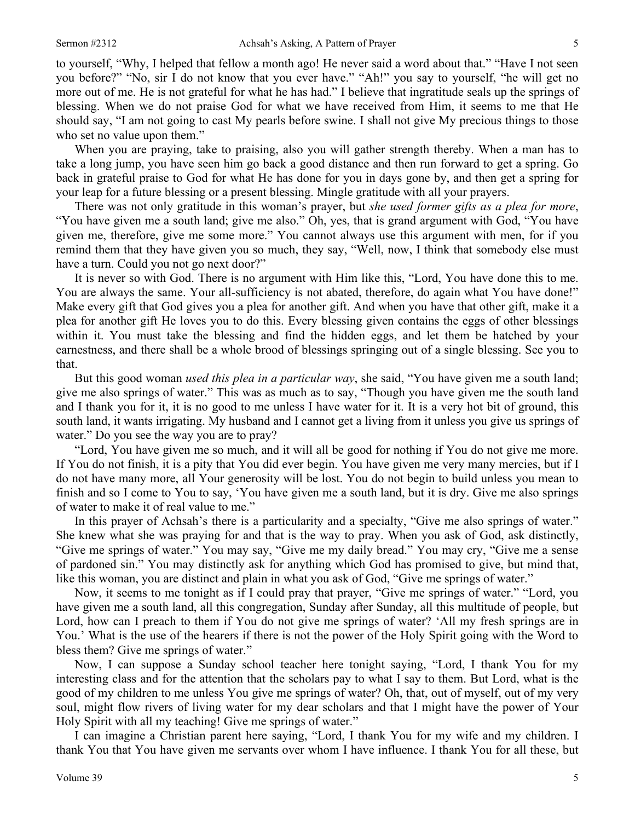to yourself, "Why, I helped that fellow a month ago! He never said a word about that." "Have I not seen you before?" "No, sir I do not know that you ever have." "Ah!" you say to yourself, "he will get no more out of me. He is not grateful for what he has had." I believe that ingratitude seals up the springs of blessing. When we do not praise God for what we have received from Him, it seems to me that He should say, "I am not going to cast My pearls before swine. I shall not give My precious things to those who set no value upon them."

When you are praying, take to praising, also you will gather strength thereby. When a man has to take a long jump, you have seen him go back a good distance and then run forward to get a spring. Go back in grateful praise to God for what He has done for you in days gone by, and then get a spring for your leap for a future blessing or a present blessing. Mingle gratitude with all your prayers.

There was not only gratitude in this woman's prayer, but *she used former gifts as a plea for more*, "You have given me a south land; give me also." Oh, yes, that is grand argument with God, "You have given me, therefore, give me some more." You cannot always use this argument with men, for if you remind them that they have given you so much, they say, "Well, now, I think that somebody else must have a turn. Could you not go next door?"

It is never so with God. There is no argument with Him like this, "Lord, You have done this to me. You are always the same. Your all-sufficiency is not abated, therefore, do again what You have done!" Make every gift that God gives you a plea for another gift. And when you have that other gift, make it a plea for another gift He loves you to do this. Every blessing given contains the eggs of other blessings within it. You must take the blessing and find the hidden eggs, and let them be hatched by your earnestness, and there shall be a whole brood of blessings springing out of a single blessing. See you to that.

But this good woman *used this plea in a particular way*, she said, "You have given me a south land; give me also springs of water." This was as much as to say, "Though you have given me the south land and I thank you for it, it is no good to me unless I have water for it. It is a very hot bit of ground, this south land, it wants irrigating. My husband and I cannot get a living from it unless you give us springs of water." Do you see the way you are to pray?

"Lord, You have given me so much, and it will all be good for nothing if You do not give me more. If You do not finish, it is a pity that You did ever begin. You have given me very many mercies, but if I do not have many more, all Your generosity will be lost. You do not begin to build unless you mean to finish and so I come to You to say, 'You have given me a south land, but it is dry. Give me also springs of water to make it of real value to me."

In this prayer of Achsah's there is a particularity and a specialty, "Give me also springs of water." She knew what she was praying for and that is the way to pray. When you ask of God, ask distinctly, "Give me springs of water." You may say, "Give me my daily bread." You may cry, "Give me a sense of pardoned sin." You may distinctly ask for anything which God has promised to give, but mind that, like this woman, you are distinct and plain in what you ask of God, "Give me springs of water."

Now, it seems to me tonight as if I could pray that prayer, "Give me springs of water." "Lord, you have given me a south land, all this congregation, Sunday after Sunday, all this multitude of people, but Lord, how can I preach to them if You do not give me springs of water? 'All my fresh springs are in You.' What is the use of the hearers if there is not the power of the Holy Spirit going with the Word to bless them? Give me springs of water."

Now, I can suppose a Sunday school teacher here tonight saying, "Lord, I thank You for my interesting class and for the attention that the scholars pay to what I say to them. But Lord, what is the good of my children to me unless You give me springs of water? Oh, that, out of myself, out of my very soul, might flow rivers of living water for my dear scholars and that I might have the power of Your Holy Spirit with all my teaching! Give me springs of water."

I can imagine a Christian parent here saying, "Lord, I thank You for my wife and my children. I thank You that You have given me servants over whom I have influence. I thank You for all these, but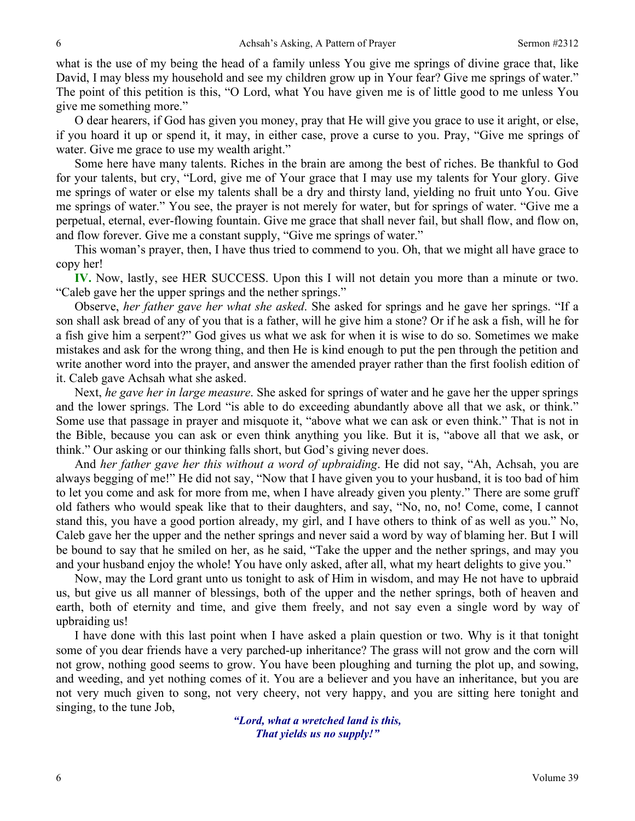what is the use of my being the head of a family unless You give me springs of divine grace that, like David, I may bless my household and see my children grow up in Your fear? Give me springs of water." The point of this petition is this, "O Lord, what You have given me is of little good to me unless You give me something more."

O dear hearers, if God has given you money, pray that He will give you grace to use it aright, or else, if you hoard it up or spend it, it may, in either case, prove a curse to you. Pray, "Give me springs of water. Give me grace to use my wealth aright."

Some here have many talents. Riches in the brain are among the best of riches. Be thankful to God for your talents, but cry, "Lord, give me of Your grace that I may use my talents for Your glory. Give me springs of water or else my talents shall be a dry and thirsty land, yielding no fruit unto You. Give me springs of water." You see, the prayer is not merely for water, but for springs of water. "Give me a perpetual, eternal, ever-flowing fountain. Give me grace that shall never fail, but shall flow, and flow on, and flow forever. Give me a constant supply, "Give me springs of water."

This woman's prayer, then, I have thus tried to commend to you. Oh, that we might all have grace to copy her!

**IV.** Now, lastly, see HER SUCCESS. Upon this I will not detain you more than a minute or two. "Caleb gave her the upper springs and the nether springs."

Observe, *her father gave her what she asked*. She asked for springs and he gave her springs. "If a son shall ask bread of any of you that is a father, will he give him a stone? Or if he ask a fish, will he for a fish give him a serpent?" God gives us what we ask for when it is wise to do so. Sometimes we make mistakes and ask for the wrong thing, and then He is kind enough to put the pen through the petition and write another word into the prayer, and answer the amended prayer rather than the first foolish edition of it. Caleb gave Achsah what she asked.

Next, *he gave her in large measure*. She asked for springs of water and he gave her the upper springs and the lower springs. The Lord "is able to do exceeding abundantly above all that we ask, or think." Some use that passage in prayer and misquote it, "above what we can ask or even think." That is not in the Bible, because you can ask or even think anything you like. But it is, "above all that we ask, or think." Our asking or our thinking falls short, but God's giving never does.

And *her father gave her this without a word of upbraiding*. He did not say, "Ah, Achsah, you are always begging of me!" He did not say, "Now that I have given you to your husband, it is too bad of him to let you come and ask for more from me, when I have already given you plenty." There are some gruff old fathers who would speak like that to their daughters, and say, "No, no, no! Come, come, I cannot stand this, you have a good portion already, my girl, and I have others to think of as well as you." No, Caleb gave her the upper and the nether springs and never said a word by way of blaming her. But I will be bound to say that he smiled on her, as he said, "Take the upper and the nether springs, and may you and your husband enjoy the whole! You have only asked, after all, what my heart delights to give you."

Now, may the Lord grant unto us tonight to ask of Him in wisdom, and may He not have to upbraid us, but give us all manner of blessings, both of the upper and the nether springs, both of heaven and earth, both of eternity and time, and give them freely, and not say even a single word by way of upbraiding us!

I have done with this last point when I have asked a plain question or two. Why is it that tonight some of you dear friends have a very parched-up inheritance? The grass will not grow and the corn will not grow, nothing good seems to grow. You have been ploughing and turning the plot up, and sowing, and weeding, and yet nothing comes of it. You are a believer and you have an inheritance, but you are not very much given to song, not very cheery, not very happy, and you are sitting here tonight and singing, to the tune Job,

> *"Lord, what a wretched land is this, That yields us no supply!"*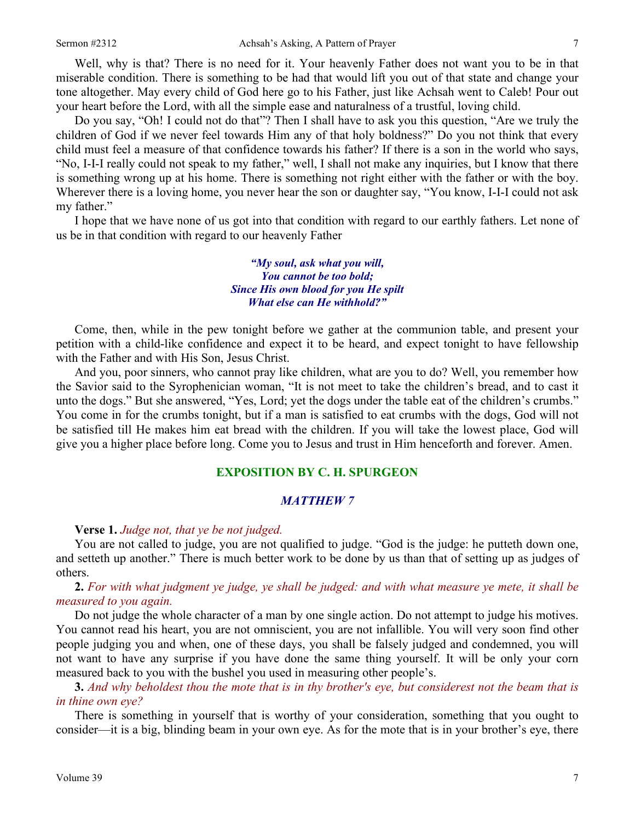Well, why is that? There is no need for it. Your heavenly Father does not want you to be in that miserable condition. There is something to be had that would lift you out of that state and change your tone altogether. May every child of God here go to his Father, just like Achsah went to Caleb! Pour out your heart before the Lord, with all the simple ease and naturalness of a trustful, loving child.

Do you say, "Oh! I could not do that"? Then I shall have to ask you this question, "Are we truly the children of God if we never feel towards Him any of that holy boldness?" Do you not think that every child must feel a measure of that confidence towards his father? If there is a son in the world who says, "No, I-I-I really could not speak to my father," well, I shall not make any inquiries, but I know that there is something wrong up at his home. There is something not right either with the father or with the boy. Wherever there is a loving home, you never hear the son or daughter say, "You know, I-I-I could not ask my father."

I hope that we have none of us got into that condition with regard to our earthly fathers. Let none of us be in that condition with regard to our heavenly Father

> *"My soul, ask what you will, You cannot be too bold; Since His own blood for you He spilt What else can He withhold?"*

Come, then, while in the pew tonight before we gather at the communion table, and present your petition with a child-like confidence and expect it to be heard, and expect tonight to have fellowship with the Father and with His Son, Jesus Christ.

And you, poor sinners, who cannot pray like children, what are you to do? Well, you remember how the Savior said to the Syrophenician woman, "It is not meet to take the children's bread, and to cast it unto the dogs." But she answered, "Yes, Lord; yet the dogs under the table eat of the children's crumbs." You come in for the crumbs tonight, but if a man is satisfied to eat crumbs with the dogs, God will not be satisfied till He makes him eat bread with the children. If you will take the lowest place, God will give you a higher place before long. Come you to Jesus and trust in Him henceforth and forever. Amen.

### **EXPOSITION BY C. H. SPURGEON**

### *MATTHEW 7*

#### **Verse 1.** *Judge not, that ye be not judged.*

You are not called to judge, you are not qualified to judge. "God is the judge: he putteth down one, and setteth up another." There is much better work to be done by us than that of setting up as judges of others.

**2.** *For with what judgment ye judge, ye shall be judged: and with what measure ye mete, it shall be measured to you again.*

Do not judge the whole character of a man by one single action. Do not attempt to judge his motives. You cannot read his heart, you are not omniscient, you are not infallible. You will very soon find other people judging you and when, one of these days, you shall be falsely judged and condemned, you will not want to have any surprise if you have done the same thing yourself. It will be only your corn measured back to you with the bushel you used in measuring other people's.

**3.** *And why beholdest thou the mote that is in thy brother's eye, but considerest not the beam that is in thine own eye?*

There is something in yourself that is worthy of your consideration, something that you ought to consider—it is a big, blinding beam in your own eye. As for the mote that is in your brother's eye, there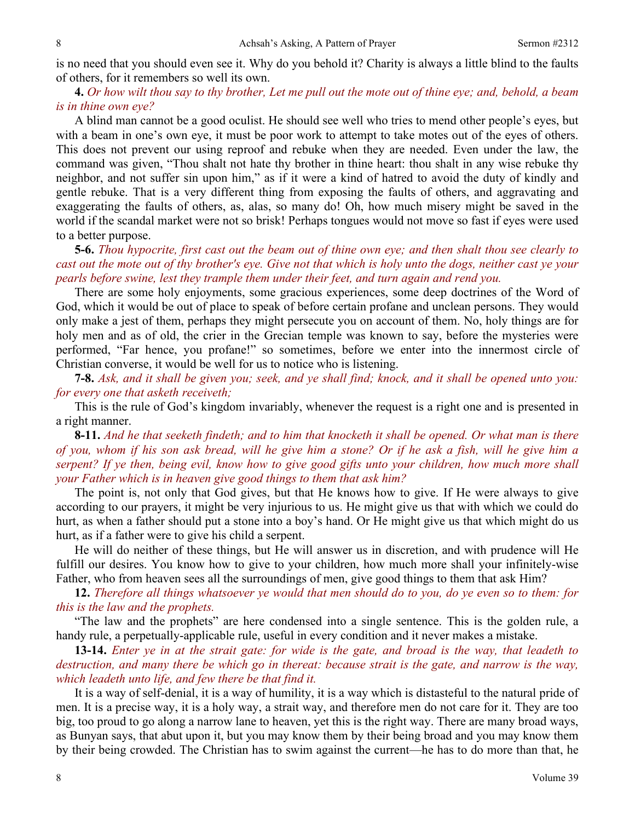is no need that you should even see it. Why do you behold it? Charity is always a little blind to the faults of others, for it remembers so well its own.

**4.** *Or how wilt thou say to thy brother, Let me pull out the mote out of thine eye; and, behold, a beam is in thine own eye?* 

A blind man cannot be a good oculist. He should see well who tries to mend other people's eyes, but with a beam in one's own eye, it must be poor work to attempt to take motes out of the eyes of others. This does not prevent our using reproof and rebuke when they are needed. Even under the law, the command was given, "Thou shalt not hate thy brother in thine heart: thou shalt in any wise rebuke thy neighbor, and not suffer sin upon him," as if it were a kind of hatred to avoid the duty of kindly and gentle rebuke. That is a very different thing from exposing the faults of others, and aggravating and exaggerating the faults of others, as, alas, so many do! Oh, how much misery might be saved in the world if the scandal market were not so brisk! Perhaps tongues would not move so fast if eyes were used to a better purpose.

**5-6.** *Thou hypocrite, first cast out the beam out of thine own eye; and then shalt thou see clearly to cast out the mote out of thy brother's eye. Give not that which is holy unto the dogs, neither cast ye your pearls before swine, lest they trample them under their feet, and turn again and rend you.*

There are some holy enjoyments, some gracious experiences, some deep doctrines of the Word of God, which it would be out of place to speak of before certain profane and unclean persons. They would only make a jest of them, perhaps they might persecute you on account of them. No, holy things are for holy men and as of old, the crier in the Grecian temple was known to say, before the mysteries were performed, "Far hence, you profane!" so sometimes, before we enter into the innermost circle of Christian converse, it would be well for us to notice who is listening.

**7-8.** *Ask, and it shall be given you; seek, and ye shall find; knock, and it shall be opened unto you: for every one that asketh receiveth;*

This is the rule of God's kingdom invariably, whenever the request is a right one and is presented in a right manner.

**8-11.** *And he that seeketh findeth; and to him that knocketh it shall be opened. Or what man is there of you, whom if his son ask bread, will he give him a stone? Or if he ask a fish, will he give him a serpent? If ye then, being evil, know how to give good gifts unto your children, how much more shall your Father which is in heaven give good things to them that ask him?*

The point is, not only that God gives, but that He knows how to give. If He were always to give according to our prayers, it might be very injurious to us. He might give us that with which we could do hurt, as when a father should put a stone into a boy's hand. Or He might give us that which might do us hurt, as if a father were to give his child a serpent.

He will do neither of these things, but He will answer us in discretion, and with prudence will He fulfill our desires. You know how to give to your children, how much more shall your infinitely-wise Father, who from heaven sees all the surroundings of men, give good things to them that ask Him?

**12.** *Therefore all things whatsoever ye would that men should do to you, do ye even so to them: for this is the law and the prophets.*

"The law and the prophets" are here condensed into a single sentence. This is the golden rule, a handy rule, a perpetually-applicable rule, useful in every condition and it never makes a mistake.

**13-14.** *Enter ye in at the strait gate: for wide is the gate, and broad is the way, that leadeth to destruction, and many there be which go in thereat: because strait is the gate, and narrow is the way, which leadeth unto life, and few there be that find it.*

It is a way of self-denial, it is a way of humility, it is a way which is distasteful to the natural pride of men. It is a precise way, it is a holy way, a strait way, and therefore men do not care for it. They are too big, too proud to go along a narrow lane to heaven, yet this is the right way. There are many broad ways, as Bunyan says, that abut upon it, but you may know them by their being broad and you may know them by their being crowded. The Christian has to swim against the current—he has to do more than that, he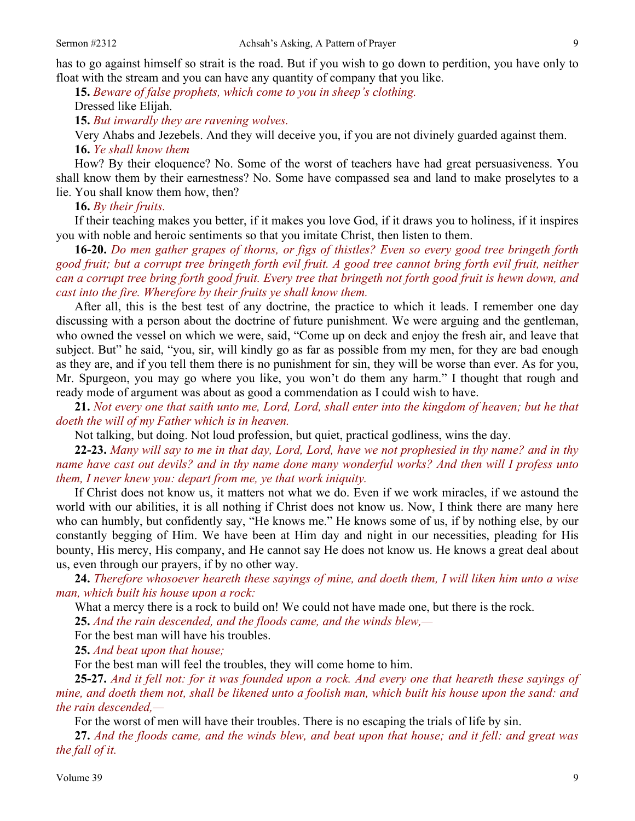**15.** *Beware of false prophets, which come to you in sheep's clothing.*

Dressed like Elijah.

**15.** *But inwardly they are ravening wolves.* 

Very Ahabs and Jezebels. And they will deceive you, if you are not divinely guarded against them. **16.** *Ye shall know them* 

How? By their eloquence? No. Some of the worst of teachers have had great persuasiveness. You shall know them by their earnestness? No. Some have compassed sea and land to make proselytes to a lie. You shall know them how, then?

**16.** *By their fruits.* 

If their teaching makes you better, if it makes you love God, if it draws you to holiness, if it inspires you with noble and heroic sentiments so that you imitate Christ, then listen to them.

**16-20.** *Do men gather grapes of thorns, or figs of thistles? Even so every good tree bringeth forth good fruit; but a corrupt tree bringeth forth evil fruit. A good tree cannot bring forth evil fruit, neither can a corrupt tree bring forth good fruit. Every tree that bringeth not forth good fruit is hewn down, and cast into the fire. Wherefore by their fruits ye shall know them.* 

After all, this is the best test of any doctrine, the practice to which it leads. I remember one day discussing with a person about the doctrine of future punishment. We were arguing and the gentleman, who owned the vessel on which we were, said, "Come up on deck and enjoy the fresh air, and leave that subject. But" he said, "you, sir, will kindly go as far as possible from my men, for they are bad enough as they are, and if you tell them there is no punishment for sin, they will be worse than ever. As for you, Mr. Spurgeon, you may go where you like, you won't do them any harm." I thought that rough and ready mode of argument was about as good a commendation as I could wish to have.

**21.** *Not every one that saith unto me, Lord, Lord, shall enter into the kingdom of heaven; but he that doeth the will of my Father which is in heaven.*

Not talking, but doing. Not loud profession, but quiet, practical godliness, wins the day.

**22-23.** *Many will say to me in that day, Lord, Lord, have we not prophesied in thy name? and in thy name have cast out devils? and in thy name done many wonderful works? And then will I profess unto them, I never knew you: depart from me, ye that work iniquity.* 

If Christ does not know us, it matters not what we do. Even if we work miracles, if we astound the world with our abilities, it is all nothing if Christ does not know us. Now, I think there are many here who can humbly, but confidently say, "He knows me." He knows some of us, if by nothing else, by our constantly begging of Him. We have been at Him day and night in our necessities, pleading for His bounty, His mercy, His company, and He cannot say He does not know us. He knows a great deal about us, even through our prayers, if by no other way.

**24.** *Therefore whosoever heareth these sayings of mine, and doeth them, I will liken him unto a wise man, which built his house upon a rock:*

What a mercy there is a rock to build on! We could not have made one, but there is the rock.

**25.** *And the rain descended, and the floods came, and the winds blew,—* 

For the best man will have his troubles.

**25.** *And beat upon that house;* 

For the best man will feel the troubles, they will come home to him.

**25-27.** *And it fell not: for it was founded upon a rock. And every one that heareth these sayings of mine, and doeth them not, shall be likened unto a foolish man, which built his house upon the sand: and the rain descended,—* 

For the worst of men will have their troubles. There is no escaping the trials of life by sin.

**27.** *And the floods came, and the winds blew, and beat upon that house; and it fell: and great was the fall of it.*